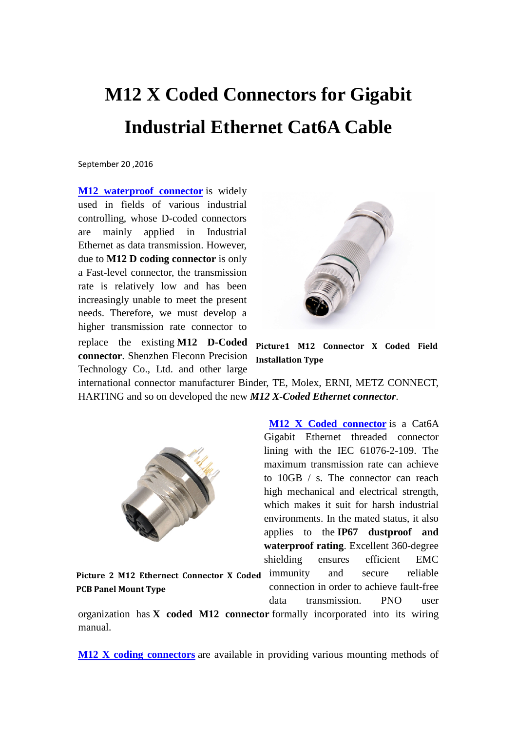## **M12 X Coded Connectors for Gigabit Industrial Ethernet Cat6A Cable**

September 20 ,2016

**M12** waterproof connector is widely used in fields of various industrial controlling, whose D-coded connectors are mainly applied in Industrial Ethernet as data transmission. However, due to **M12 D coding connector** is only a Fast-level connector, the transmission rate is relatively low and has been increasingly unable to meet the present needs. Therefore, we must develop a higher transmission rate connector to replace the existing **M12 D-Coded connector**. Shenzhen Fleconn Precision Technology Co., Ltd. and other large



**Picture1 M12 Connector X Coded Field Installation Type**

international connector manufacturer Binder, TE, Molex, ERNI, METZ CONNECT, HARTING and so on developed the new *M12 X-Coded Ethernet connector*.



**[M12 X Coded connector](http://www.fleconn-china.com/products-78-M12-X-Coding-Connector.html)** is a Cat6A Gigabit Ethernet threaded connector lining with the IEC 61076-2-109. The maximum transmission rate can achieve to 10GB / s. The connector can reach high mechanical and electrical strength, which makes it suit for harsh industrial environments. In the mated status, it also applies to the **IP67 dustproof and waterproof rating**. Excellent 360-degree shielding ensures efficient EMC

Picture 2 M12 Ethernect Connector X Coded immunity and secure reliable **PCB Panel Mount Type**

connection in order to achieve fault-free data transmission. PNO user

organization has **X coded M12 connector** formally incorporated into its wiring manual.

**[M12 X coding connectors](http://www.fleconn-china.com/productinfo-128-M12-X-Coding-Connector,-Cat6A-Ethernet-Connector,-Shielded-Female-8-Pos.html)** are available in providing various mounting methods of